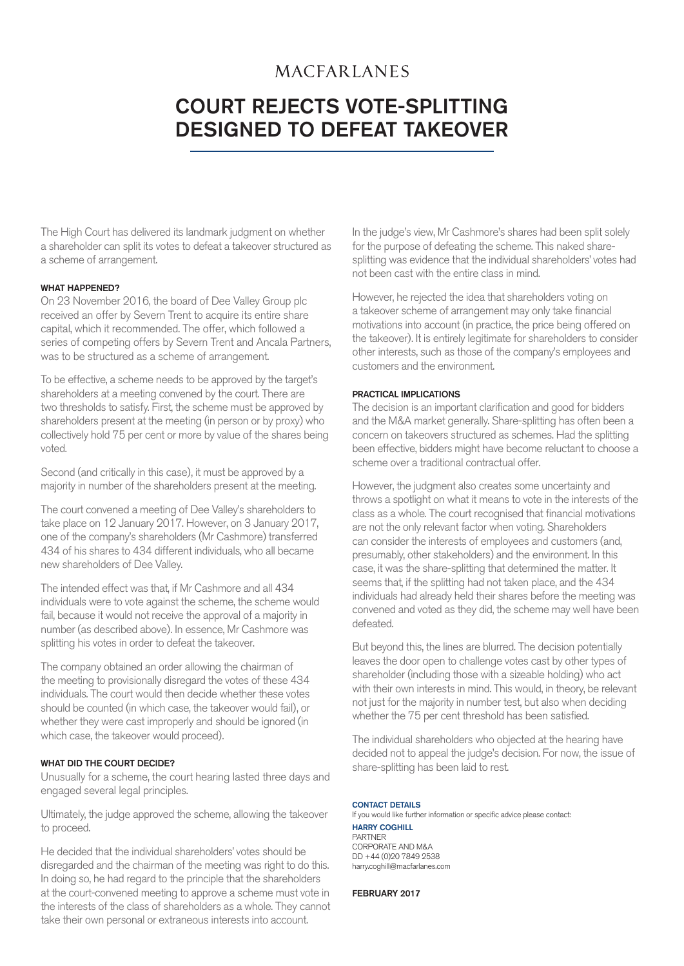## **MACFARLANES**

# Court rejects vote-splitting designed to defeat takeover

The High Court has delivered its landmark judgment on whether a shareholder can split its votes to defeat a takeover structured as a scheme of arrangement.

#### WHAT HAPPENED?

On 23 November 2016, the board of Dee Valley Group plc received an offer by Severn Trent to acquire its entire share capital, which it recommended. The offer, which followed a series of competing offers by Severn Trent and Ancala Partners, was to be structured as a scheme of arrangement.

To be effective, a scheme needs to be approved by the target's shareholders at a meeting convened by the court. There are two thresholds to satisfy. First, the scheme must be approved by shareholders present at the meeting (in person or by proxy) who collectively hold 75 per cent or more by value of the shares being voted.

Second (and critically in this case), it must be approved by a majority in number of the shareholders present at the meeting.

The court convened a meeting of Dee Valley's shareholders to take place on 12 January 2017. However, on 3 January 2017, one of the company's shareholders (Mr Cashmore) transferred 434 of his shares to 434 different individuals, who all became new shareholders of Dee Valley.

The intended effect was that, if Mr Cashmore and all 434 individuals were to vote against the scheme, the scheme would fail, because it would not receive the approval of a majority in number (as described above). In essence, Mr Cashmore was splitting his votes in order to defeat the takeover.

The company obtained an order allowing the chairman of the meeting to provisionally disregard the votes of these 434 individuals. The court would then decide whether these votes should be counted (in which case, the takeover would fail), or whether they were cast improperly and should be ignored (in which case, the takeover would proceed).

### WHAT DID THE COURT DECIDE?

Unusually for a scheme, the court hearing lasted three days and engaged several legal principles.

Ultimately, the judge approved the scheme, allowing the takeover to proceed.

He decided that the individual shareholders' votes should be disregarded and the chairman of the meeting was right to do this. In doing so, he had regard to the principle that the shareholders at the court-convened meeting to approve a scheme must vote in the interests of the class of shareholders as a whole. They cannot take their own personal or extraneous interests into account.

In the judge's view, Mr Cashmore's shares had been split solely for the purpose of defeating the scheme. This naked sharesplitting was evidence that the individual shareholders' votes had not been cast with the entire class in mind.

However, he rejected the idea that shareholders voting on a takeover scheme of arrangement may only take financial motivations into account (in practice, the price being offered on the takeover). It is entirely legitimate for shareholders to consider other interests, such as those of the company's employees and customers and the environment.

#### Practical implications

The decision is an important clarification and good for bidders and the M&A market generally. Share-splitting has often been a concern on takeovers structured as schemes. Had the splitting been effective, bidders might have become reluctant to choose a scheme over a traditional contractual offer.

However, the judgment also creates some uncertainty and throws a spotlight on what it means to vote in the interests of the class as a whole. The court recognised that financial motivations are not the only relevant factor when voting. Shareholders can consider the interests of employees and customers (and, presumably, other stakeholders) and the environment. In this case, it was the share-splitting that determined the matter. It seems that, if the splitting had not taken place, and the 434 individuals had already held their shares before the meeting was convened and voted as they did, the scheme may well have been defeated.

But beyond this, the lines are blurred. The decision potentially leaves the door open to challenge votes cast by other types of shareholder (including those with a sizeable holding) who act with their own interests in mind. This would, in theory, be relevant not just for the majority in number test, but also when deciding whether the 75 per cent threshold has been satisfied.

The individual shareholders who objected at the hearing have decided not to appeal the judge's decision. For now, the issue of share-splitting has been laid to rest.

#### CONTACT DETAILS

If you would like further information or specific advice please contact: harry coghill partner corporate and m&a DD +44 (0)20 7849 2538 harry.coghill@macfarlanes.com

February 2017